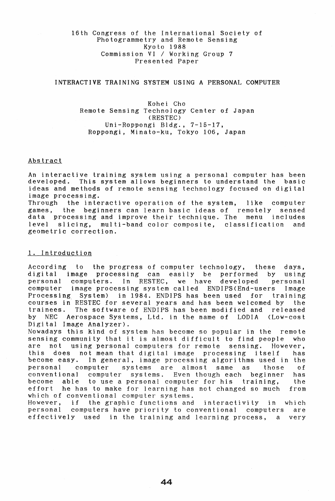# 16th Congress of the International Society of Photogrammetry and Remote Sensing Kyoto 1988 Commission VI/Working Group 7 Presented Paper

## INTERACTIVE TRAINING SYSTEM USING A PERSONAL COMPUTER

Kohei Cho Remote Sensing Technology Center of Japan (RESTEC) Uni-Roppongi Bldg., 7-15-17, Roppongi, Minato-ku, Tokyo 106, Japan

### Abstract

An interactive training system using a personal computer has been developed. This system allows beginners to understand the basic ideas and methods of remote sensing technology focused on digital image processing.<br>Through the inte

the interactive operation of the system, like computer games, the beginners can learn basic ideas of remotely sensed data processing and improve their technique. The menu includes<br>level slicing. multi-band color composite, classification and level slicing, multi-band color composite, classification and geometric correction.

## 1. Introduction

According to the progress of computer technology, these days, digital image processing can easily be performed by using personal computers. In RESTEC, we have developed personal personal computers. In RESTEC, we have developed personal computer image processing system called ENDIPS(End-users Image Processing System) in 1984. ENDIPS has been used for training courses in RESTEC for several years and has been welcomed by the trainees. The software of ENDIPS has been modified and released<br>by NEC Aerospace Systems, Ltd. in the name of LODIA (Low-cost NEC Aerospace Systems, Ltd. in the name of LODIA Digital Image Analyzer).

Nowadays this kind of system has become so popular in the remote sensing community that it is almost difficult to find people who<br>are not using personal computers for remote sensing. However, not using personal computers for remote sensing. However, this does not mean that digital image processing itself has become easy. In general, image processing algorithms used in the personal computer systems are almost same as those of computer systems. Even though each beginner has become able to use a personal computer for his training, the he has to make for learning has not changed so much from which of conventional computer systems.

However, if the graphic functions and interactivity in which personal computers have priority to conventional computers are effectively used in the training and learning process, a very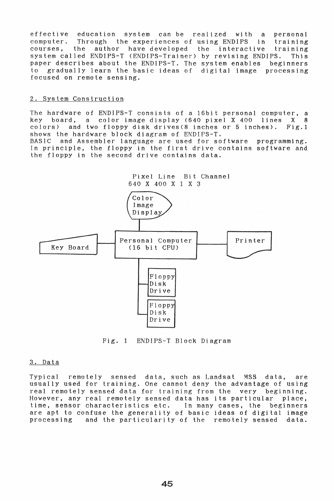effective education system can be realized with a personal computer. Through the experiences of using ENDIPS in training<br>courses, the author have developed the interactive training author have developed system called ENDIPS-T (ENDIPS-Trainer) by revising ENDIPS. This paper describes about the ENDIPS-T. The system enables beginners to gradually learn the basic ideas of digital image processing focused on remote sensing.

### 2. System Construction

The hardware of ENDIPS-T consists of a 16bit personal computer, a<br>key board, a color image display (640 pixel X 400 lines X 8 key board, a color image display (640 pixel X 400 lines X 8 colors) and two floppy disk drives(8 inches or 5 inches). Fig.l shows the hardware block diagram of ENDIPS-T.

BASIC and Assembler language are used for software programming. In principle, the floppy in the first drive contains software and the floppy in the second drive contains data.



Fig. 1 ENDIPS-T Block Diagram

### 3. Data

Typical remotely sensed data, such as Landsat MSS data, are usually used for training. One cannot deny the advantage of using real remotely sensed data for training from the very beginning. However, any real remotely sensed data has its particular place, time, sensor characteristics etc. In many cases, the beginners are apt to confuse the generality of basic ideas of digital image processing and the particularity of the remotely sensed data.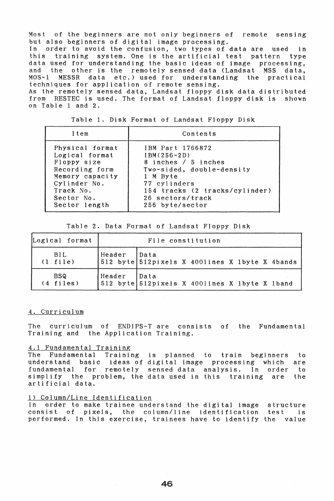Most of the beginners are not only beginners of remote sensing but also beginners of digital image processing. order to avoid the confusion, two types of data are used in this training system. One is the artificial test pattern type data used for understanding the basic ideas of image processing,<br>and the other is the remotely sensed data (Landsat MSS data, and the other is the remotely sensed data (Landsat MSS data, data etc.) used for understanding the practical techniques for application of remote sensing.

As the remotely sensed data, Landsat floppy disk data distributed from RESTEC is used. The format of Landsat floppy disk is shown on Table 1 and 2.

| Item            | Contents                       |
|-----------------|--------------------------------|
| Physical format | IBM Part 1766872               |
| Logical format  | $IBM(256-2D)$                  |
| Floppy size     | 8 inches / 5 inches            |
| Recording form  | Two-sided, double-density      |
| Memory capacity | 1 M Byte                       |
| Cylinder No.    | 77 cylinders                   |
| Track No.       | 154 tracks (2 tracks/cylinder) |
| Sector No.      | 26 sectors/track               |
| Sector length   | 256 byte/sector                |

Table 1. Disk Format of Landsat Floppy Disk

Table 2. Data Format of Landsat Floppy Disk

| Logical format             | File constitution |                                                |  |
|----------------------------|-------------------|------------------------------------------------|--|
| BIL<br>$(1 \text{ file})$  | Header Data       | 512 byte 512pixels X 400lines X 1byte X 4bands |  |
| BSQ<br>$(4 \text{ files})$ | Header Data       | 512 byte 512pixels X 400lines X 1byte X 1band  |  |

### 4. Curriculum

The curriculum of ENDIPS-T are consists of the Fundamental Training and the Application Training.

### 4.1 Fundamental Training

The Fundamental Training is planned to train beginners to understand basic ideas of digital image processing which are fundamental for remotely sensed-data analysis. In order simplify the problem, the data used in this training are the artificial data.

### 1) Column/Line Identification

In order to make trainee understand the digital image structure consist of pixels, the column/line identification test is performed. In this exercise, trainees have to identify the value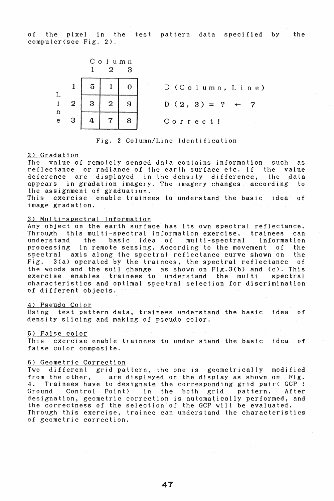of the pixel in the test pattern data specified by the computer(see Fig. 2).



Fig. 2 Column/Line Identification

#### 2) Gradation

The value of remotely sensed data contains information such as reflectance or radiance of the earth surface etc. If the value deference are displayed in the density difference, the data appears in gradation imagery. The imagery changes according to the assignment of graduation.

exercise enable trainees to understand the basic idea of image gradation.

### 3) Multi-spectral Information

Any object on the earth surface has its own spectral reflectance.<br>Through this multi-spectral information exercise, trainees can Through this multi-spectral information exercise, trainees can understand the basic idea of multi-spectral information understand the basic idea of multi-spectral information<br>processing in remote sensing. According to the movement of the<br>spectral axis along the spectral reflectance curve shown on the spectral axis along the spectral reflectance curve shown on Fig. 3(a) operated by the trainees, the spectral reflectance Fig. 3(a) operated by the trainees, the spectral reflectance of the woods and the soil change as shown on Fig.3(b) and (c). This trainees to understand the multi characteristics and optimal spectral selection for discrimination of different objects.

### 4) Pseudo Color

Using test pattern data, trainees understand the basic idea of density slicing and making of pseudo color.

### 5) False color

This exercise enable trainees to under stand the basic idea of false color composite.

## 6) Geometric Correction

Two different grid pattern, the one is geometrically modified<br>from the other. are displayed on the display as shown on Fig. from the other, are displayed on the display as shown on Fig.<br>4. Trainees have to designate the corresponding grid pair(GCP : 4. Trainees have to deSignate the corresponding grid pair( GCP : Ground Control Point) in the both grid pattern. After Ground Control Point) in the both grid pattern. After<br>designation, geometric correction is automatically performed, and the correctness of the selection of the GCP will be evaluated. Through this exercise, trainee can understand the characteristics of geometric correction.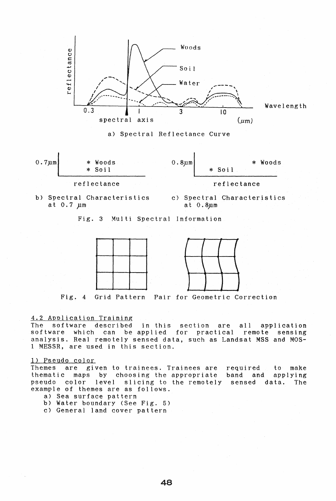

a) Spectral Reflectance Curve



b) Spectral Characteristics at 0.7 µm

c) Spectral Characteristics at  $0.8$ um

Fig. 3 Multi Spectral Information



Fig. 4 Grid Pattern Pair for Geometric Correction

## 4.2 Application Training

The software described in this section are all application software which can be applied for practical remote sensing analysis. Real remotely sensed data, such as Landsat MSS and MOS-<sup>1</sup>MESSR, are used in this section.

### 1) Pseudo color

Themes are given to trainees. Trainees are<br>thematic maps by choosing the appropriate thematic maps by choosing the appropriate slicing to the remotely example of themes are as follows. required to make band and applying sensed data. The

- a) Sea surface pattern
- b) Water boundary (See Fig. 5)
- c) General land cover pattern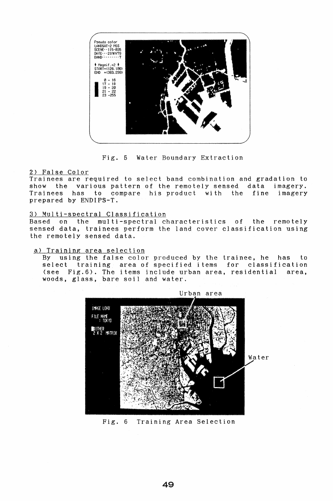

Fig. 5 Water Boundary Extraction

### 2) False Color

Trainees are required to select band combination and gradation to show the various pattern of the remotely sensed data imagery. Trainees has to compare his product with the fine imagery prepared by ENDIPS-T.

### 3) Multi-spectral Classification

Based on the multi-spectral characteristics of the remotely sensed data, trainees perform the land cover classification using the remotely sensed data.

### a) Training area selection

By using the false color produced by the trainee, he has to select training area of specified items for classification (see Fig.6). The items include urban area, residential area, woods, glass, bare soil and water.



Fig. 6 Training Area Selection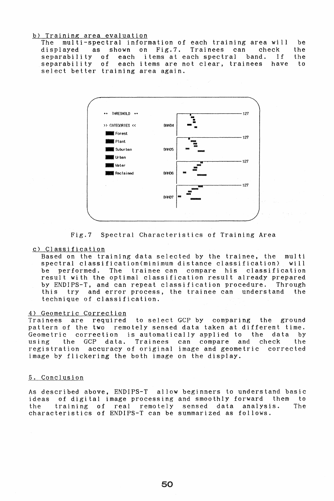#### b) Training area evaluation

The multi-spectral information of each training area will be<br>displayed as shown on Fig.7. Trainees can check the displayed as shown on Fig.7. Trainees can separability of each items at each spectral band. If the separability of each items are not clear, trainees have to each items are not clear, trainees select better training area again.



Fig.7 Spectral Characteristics of Training Area

#### c) Classification

Based on the training data selected by the trainee, the multi spectral classification(minimum distance classification), will<br>be performed. The trainee can compare his classification be performed. The trainee-can compare his result with the optimal classification result already prepared by ENDIPS-T, and can repeat classification procedure. Through this try and error process, the trainee can understand the technique of classification.

## 4) Geometric Correction

Trainees are required to select GCP by comparing the ground pattern of the two remotely sensed data taken at different time. Geometric correction is automatically applied to the data by using the GCP data. Trainees can compare and check the registration accuracy of original image and geometric corrected image by flickering the both image on the display.

## 5. Conclusion

As described above, ENDIPS-T allow beginners to understand basic ideas of digital image processing and smoothly forward them to the training of real remotely sensed data analysis. The characteristics of ENDIPS-T can be summarized as follows.